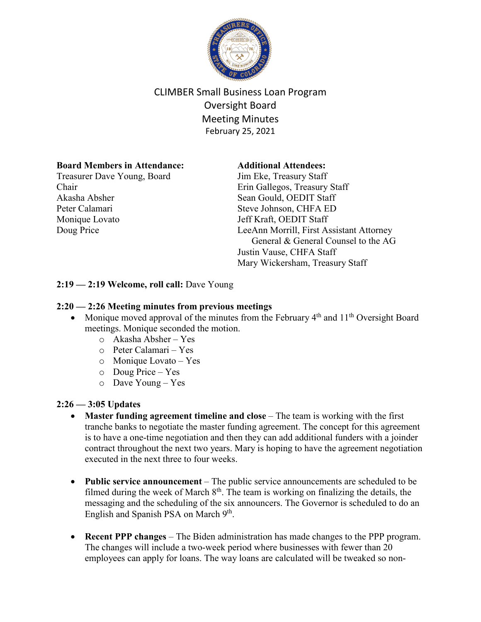

# CLIMBER Small Business Loan Program Oversight Board Meeting Minutes February 25, 2021

# **Board Members in Attendance:**

Treasurer Dave Young, Board Chair Akasha Absher Peter Calamari Monique Lovato Doug Price

## **Additional Attendees:**

Jim Eke, Treasury Staff Erin Gallegos, Treasury Staff Sean Gould, OEDIT Staff Steve Johnson, CHFA ED Jeff Kraft, OEDIT Staff LeeAnn Morrill, First Assistant Attorney General & General Counsel to the AG Justin Vause, CHFA Staff Mary Wickersham, Treasury Staff

# **2:19 — 2:19 Welcome, roll call:** Dave Young

## **2:20 — 2:26 Meeting minutes from previous meetings**

- Monique moved approval of the minutes from the February  $4<sup>th</sup>$  and  $11<sup>th</sup>$  Oversight Board meetings. Monique seconded the motion.
	- o Akasha Absher Yes
	- o Peter Calamari Yes
	- o Monique Lovato Yes
	- o Doug Price Yes
	- o Dave Young Yes

## **2:26 — 3:05 Updates**

- **Master funding agreement timeline and close** The team is working with the first tranche banks to negotiate the master funding agreement. The concept for this agreement is to have a one-time negotiation and then they can add additional funders with a joinder contract throughout the next two years. Mary is hoping to have the agreement negotiation executed in the next three to four weeks.
- **Public service announcement** The public service announcements are scheduled to be filmed during the week of March  $8<sup>th</sup>$ . The team is working on finalizing the details, the messaging and the scheduling of the six announcers. The Governor is scheduled to do an English and Spanish PSA on March 9<sup>th</sup>.
- **Recent PPP changes** The Biden administration has made changes to the PPP program. The changes will include a two-week period where businesses with fewer than 20 employees can apply for loans. The way loans are calculated will be tweaked so non-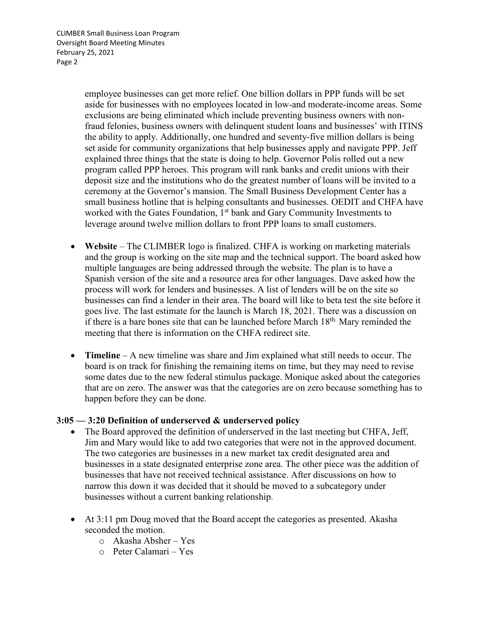CLIMBER Small Business Loan Program Oversight Board Meeting Minutes February 25, 2021 Page 2

> employee businesses can get more relief. One billion dollars in PPP funds will be set aside for businesses with no employees located in low-and moderate-income areas. Some exclusions are being eliminated which include preventing business owners with nonfraud felonies, business owners with delinquent student loans and businesses' with ITINS the ability to apply. Additionally, one hundred and seventy-five million dollars is being set aside for community organizations that help businesses apply and navigate PPP. Jeff explained three things that the state is doing to help. Governor Polis rolled out a new program called PPP heroes. This program will rank banks and credit unions with their deposit size and the institutions who do the greatest number of loans will be invited to a ceremony at the Governor's mansion. The Small Business Development Center has a small business hotline that is helping consultants and businesses. OEDIT and CHFA have worked with the Gates Foundation, 1<sup>st</sup> bank and Gary Community Investments to leverage around twelve million dollars to front PPP loans to small customers.

- **Website** The CLIMBER logo is finalized. CHFA is working on marketing materials and the group is working on the site map and the technical support. The board asked how multiple languages are being addressed through the website. The plan is to have a Spanish version of the site and a resource area for other languages. Dave asked how the process will work for lenders and businesses. A list of lenders will be on the site so businesses can find a lender in their area. The board will like to beta test the site before it goes live. The last estimate for the launch is March 18, 2021. There was a discussion on if there is a bare bones site that can be launched before March 18th. Mary reminded the meeting that there is information on the CHFA redirect site.
- **Timeline** A new timeline was share and Jim explained what still needs to occur. The board is on track for finishing the remaining items on time, but they may need to revise some dates due to the new federal stimulus package. Monique asked about the categories that are on zero. The answer was that the categories are on zero because something has to happen before they can be done.

## **3:05 — 3:20 Definition of underserved & underserved policy**

- The Board approved the definition of underserved in the last meeting but CHFA, Jeff, Jim and Mary would like to add two categories that were not in the approved document. The two categories are businesses in a new market tax credit designated area and businesses in a state designated enterprise zone area. The other piece was the addition of businesses that have not received technical assistance. After discussions on how to narrow this down it was decided that it should be moved to a subcategory under businesses without a current banking relationship.
- At 3:11 pm Doug moved that the Board accept the categories as presented. Akasha seconded the motion.
	- o Akasha Absher Yes
	- o Peter Calamari Yes